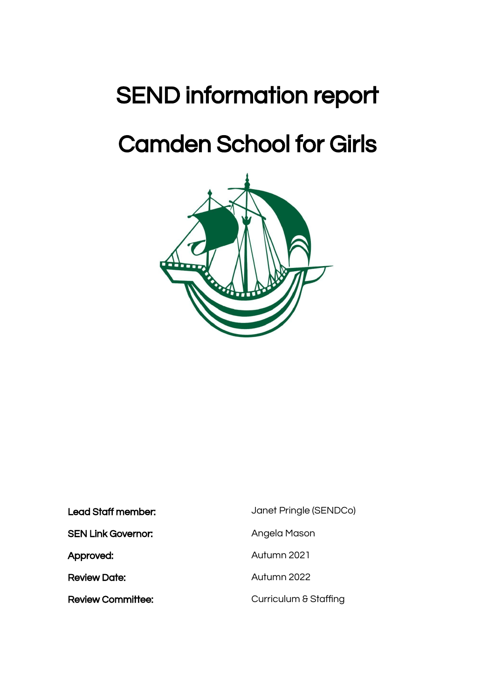## SEND information report

# Camden School for Girls



Lead Staff member:  $J$ anet Pringle (SENDCo) SEN Link Governor: Angela Mason Approved: Autumn 2021 **Review Date:** Autumn 2022 Review Committee: Curriculum & Staffing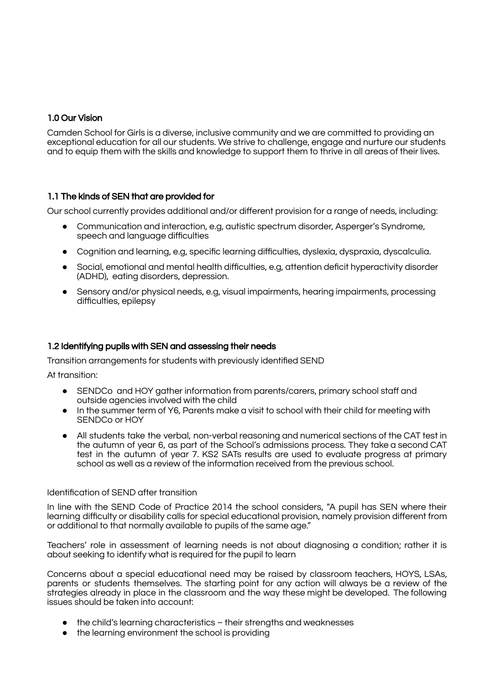#### 1.0 Our Vision

Camden School for Girls is a diverse, inclusive community and we are committed to providing an exceptional education for all our students. We strive to challenge, engage and nurture our students and to equip them with the skills and knowledge to support them to thrive in all areas of their lives.

#### 1.1 The kinds of SEN that are provided for

Our school currently provides additional and/or different provision for a range of needs, including:

- Communication and interaction, e.g, autistic spectrum disorder, Asperger's Syndrome, speech and language difficulties
- Cognition and learning, e.g, specific learning difficulties, dyslexia, dyspraxia, dyscalculia.
- Social, emotional and mental health difficulties, e.g, attention deficit hyperactivity disorder (ADHD), eating disorders, depression.
- Sensory and/or physical needs, e.g, visual impairments, hearing impairments, processing difficulties, epilepsy

#### 1.2 Identifying pupils with SEN and assessing their needs

Transition arrangements for students with previously identified SEND

At transition:

- SENDCo and HOY gather information from parents/carers, primary school staff and outside agencies involved with the child
- In the summer term of Y6, Parents make a visit to school with their child for meeting with SENDCo or HOY
- All students take the verbal, non-verbal reasoning and numerical sections of the CAT test in the autumn of year 6, as part of the School's admissions process. They take a second CAT test in the autumn of year 7. KS2 SATs results are used to evaluate progress at primary school as well as a review of the information received from the previous school.

#### Identification of SEND after transition

In line with the SEND Code of Practice 2014 the school considers, "A pupil has SEN where their learning difficulty or disability calls for special educational provision, namely provision different from or additional to that normally available to pupils of the same age."

Teachers' role in assessment of learning needs is not about diagnosing a condition; rather it is about seeking to identify what is required for the pupil to learn

Concerns about a special educational need may be raised by classroom teachers, HOYS, LSAs, parents or students themselves. The starting point for any action will always be a review of the strategies already in place in the classroom and the way these might be developed. The following issues should be taken into account:

- the child's learning characteristics their strengths and weaknesses
- the learning environment the school is providing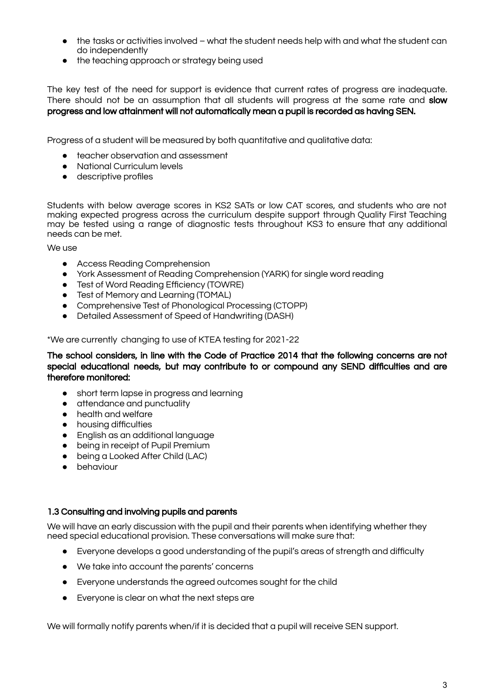- the tasks or activities involved what the student needs help with and what the student can do independently
- the teaching approach or strategy being used

The key test of the need for support is evidence that current rates of progress are inadequate. There should not be an assumption that all students will progress at the same rate and slow progress and low attainment will not automatically mean a pupil is recorded as having SEN.

Progress of a student will be measured by both quantitative and qualitative data:

- teacher observation and assessment
- National Curriculum levels
- descriptive profiles

Students with below average scores in KS2 SATs or low CAT scores, and students who are not making expected progress across the curriculum despite support through Quality First Teaching may be tested using a range of diagnostic tests throughout KS3 to ensure that any additional needs can be met.

We use

- Access Reading Comprehension
- York Assessment of Reading Comprehension (YARK) for single word reading
- Test of Word Reading Efficiency (TOWRE)
- Test of Memory and Learning (TOMAL)
- Comprehensive Test of Phonological Processing (CTOPP)
- Detailed Assessment of Speed of Handwriting (DASH)

\*We are currently changing to use of KTEA testing for 2021-22

The school considers, in line with the Code of Practice 2014 that the following concerns are not special educational needs, but may contribute to or compound any SEND difficulties and are therefore monitored:

- short term lapse in progress and learning
- attendance and punctuality
- health and welfare
- housing difficulties
- English as an additional language
- being in receipt of Pupil Premium
- being a Looked After Child (LAC)
- behaviour

#### 1.3 Consulting and involving pupils and parents

We will have an early discussion with the pupil and their parents when identifying whether they need special educational provision. These conversations will make sure that:

- Everyone develops a good understanding of the pupil's areas of strength and difficulty
- We take into account the parents' concerns
- Everyone understands the agreed outcomes sought for the child
- Everyone is clear on what the next steps are

We will formally notify parents when/if it is decided that a pupil will receive SEN support.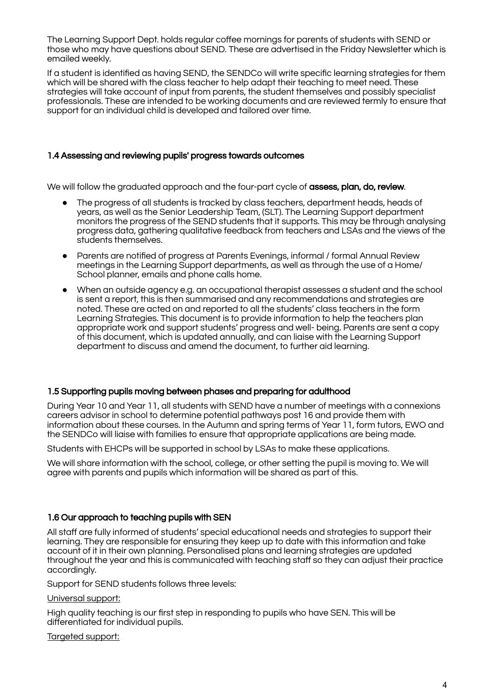The Learning Support Dept. holds regular coffee mornings for parents of students with SEND or those who may have questions about SEND. These are advertised in the Friday Newsletter which is emailed weekly.

If a student is identified as having SEND, the SENDCo will write specific learning strategies for them which will be shared with the class teacher to help adapt their teaching to meet need. These strategies will take account of input from parents, the student themselves and possibly specialist professionals. These are intended to be working documents and are reviewed termly to ensure that support for an individual child is developed and tailored over time.

#### 1.4 Assessing and reviewing pupils' progress towards outcomes

We will follow the graduated approach and the four-part cycle of **assess, plan, do, review.** 

- The progress of all students is tracked by class teachers, department heads, heads of years, as well as the Senior Leadership Team, (SLT). The Learning Support department monitors the progress of the SEND students that it supports. This may be through analysing progress data, gathering qualitative feedback from teachers and LSAs and the views of the students themselves.
- Parents are notified of progress at Parents Evenings, informal / formal Annual Review meetings in the Learning Support departments, as well as through the use of a Home/ School planner, emails and phone calls home.
- When an outside agency e.g. an occupational therapist assesses a student and the school is sent a report, this is then summarised and any recommendations and strategies are noted. These are acted on and reported to all the students' class teachers in the form Learning Strategies. This document is to provide information to help the teachers plan appropriate work and support students' progress and well- being. Parents are sent a copy of this document, which is updated annually, and can liaise with the Learning Support department to discuss and amend the document, to further aid learning.

#### 1.5 Supporting pupils moving between phases and preparing for adulthood

During Year 10 and Year 11, all students with SEND have a number of meetings with a connexions careers advisor in school to determine potential pathways post 16 and provide them with information about these courses. In the Autumn and spring terms of Year 11, form tutors, EWO and the SENDCo will liaise with families to ensure that appropriate applications are being made.

Students with EHCPs will be supported in school by LSAs to make these applications.

We will share information with the school, college, or other setting the pupil is moving to. We will agree with parents and pupils which information will be shared as part of this.

#### 1.6 Our approach to teaching pupils with SEN

All staff are fully informed of students' special educational needs and strategies to support their learning. They are responsible for ensuring they keep up to date with this information and take account of it in their own planning. Personalised plans and learning strategies are updated throughout the year and this is communicated with teaching staff so they can adjust their practice accordingly.

Support for SEND students follows three levels:

#### Universal support:

High quality teaching is our first step in responding to pupils who have SEN. This will be differentiated for individual pupils.

#### Targeted support: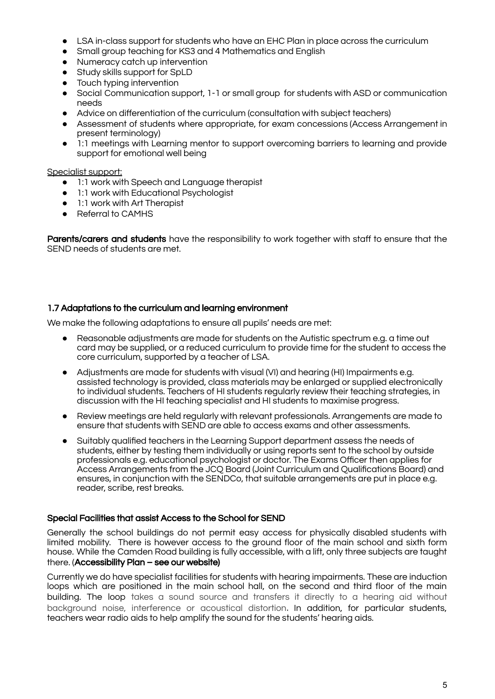- LSA in-class support for students who have an EHC Plan in place across the curriculum
- Small group teaching for KS3 and 4 Mathematics and English
- Numeracy catch up intervention
- Study skills support for SpLD
- Touch typing intervention
- Social Communication support, 1-1 or small group for students with ASD or communication needs
- Advice on differentiation of the curriculum (consultation with subject teachers)
- Assessment of students where appropriate, for exam concessions (Access Arrangement in present terminology)
- 1:1 meetings with Learning mentor to support overcoming barriers to learning and provide support for emotional well being

#### Specialist support:

- 1:1 work with Speech and Language therapist
- 1:1 work with Educational Psychologist
- 1:1 work with Art Therapist
- Referral to CAMHS

Parents/carers and students have the responsibility to work together with staff to ensure that the SEND needs of students are met.

#### 1.7 Adaptations to the curriculum and learning environment

We make the following adaptations to ensure all pupils' needs are met:

- Reasonable adjustments are made for students on the Autistic spectrum e.g. a time out card may be supplied, or a reduced curriculum to provide time for the student to access the core curriculum, supported by a teacher of LSA.
- Adjustments are made for students with visual (VI) and hearing (HI) Impairments e.g. assisted technology is provided, class materials may be enlarged or supplied electronically to individual students. Teachers of HI students regularly review their teaching strategies, in discussion with the HI teaching specialist and HI students to maximise progress.
- Review meetings are held regularly with relevant professionals. Arrangements are made to ensure that students with SEND are able to access exams and other assessments.
- Suitably qualified teachers in the Learning Support department assess the needs of students, either by testing them individually or using reports sent to the school by outside professionals e.g. educational psychologist or doctor. The Exams Officer then applies for Access Arrangements from the JCQ Board (Joint Curriculum and Qualifications Board) and ensures, in conjunction with the SENDCo, that suitable arrangements are put in place e.g. reader, scribe, rest breaks.

#### Special Facilities that assist Access to the School for SEND

Generally the school buildings do not permit easy access for physically disabled students with limited mobility. There is however access to the ground floor of the main school and sixth form house. While the Camden Road building is fully accessible, with a lift, only three subjects are taught there. (Accessibility Plan – see our website)

Currently we do have specialist facilities for students with hearing impairments. These are induction loops which are positioned in the main school hall, on the second and third floor of the main building. The loop takes a sound source and transfers it directly to a hearing aid without background noise, interference or acoustical distortion. In addition, for particular students, teachers wear radio aids to help amplify the sound for the students' hearing aids.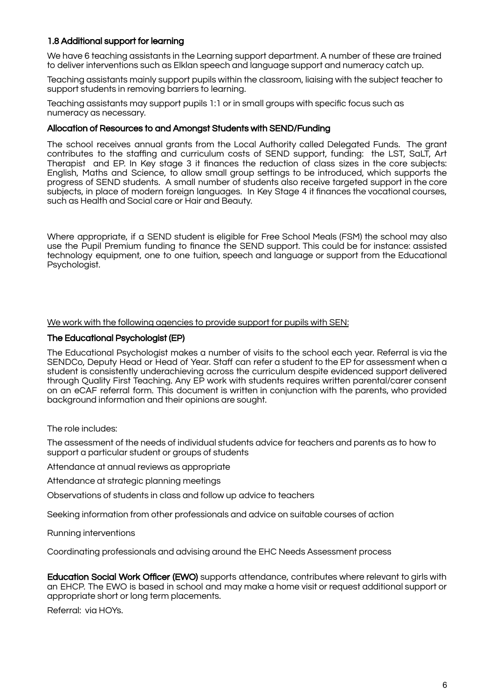## 1.8 Additional support for learning

We have 6 teaching assistants in the Learning support department. A number of these are trained to deliver interventions such as Elklan speech and language support and numeracy catch up.

Teaching assistants mainly support pupils within the classroom, liaising with the subject teacher to support students in removing barriers to learning.

Teaching assistants may support pupils 1:1 or in small groups with specific focus such as numeracy as necessary.

#### Allocation of Resources to and Amongst Students with SEND/Funding

The school receives annual grants from the Local Authority called Delegated Funds. The grant contributes to the staffing and curriculum costs of SEND support, funding: the LST, SaLT, Art Therapist and EP. In Key stage 3 it finances the reduction of class sizes in the core subjects: English, Maths and Science, to allow small group settings to be introduced, which supports the progress of SEND students. A small number of students also receive targeted support in the core subjects, in place of modern foreign languages. In Key Stage 4 it finances the vocational courses, such as Health and Social care or Hair and Beauty.

Where appropriate, if a SEND student is eligible for Free School Meals (FSM) the school may also use the Pupil Premium funding to finance the SEND support. This could be for instance: assisted technology equipment, one to one tuition, speech and language or support from the Educational Psychologist.

#### We work with the following agencies to provide support for pupils with SEN:

#### The Educational Psychologist (EP)

The Educational Psychologist makes a number of visits to the school each year. Referral is via the SENDCo, Deputy Head or Head of Year. Staff can refer a student to the EP for assessment when a student is consistently underachieving across the curriculum despite evidenced support delivered through Quality First Teaching. Any EP work with students requires written parental/carer consent on an eCAF referral form. This document is written in conjunction with the parents, who provided background information and their opinions are sought.

The role includes:

The assessment of the needs of individual students advice for teachers and parents as to how to support a particular student or groups of students

Attendance at annual reviews as appropriate

Attendance at strategic planning meetings

Observations of students in class and follow up advice to teachers

Seeking information from other professionals and advice on suitable courses of action

Running interventions

Coordinating professionals and advising around the EHC Needs Assessment process

Education Social Work Officer (EWO) supports attendance, contributes where relevant to girls with an EHCP. The EWO is based in school and may make a home visit or request additional support or appropriate short or long term placements.

Referral: via HOYs.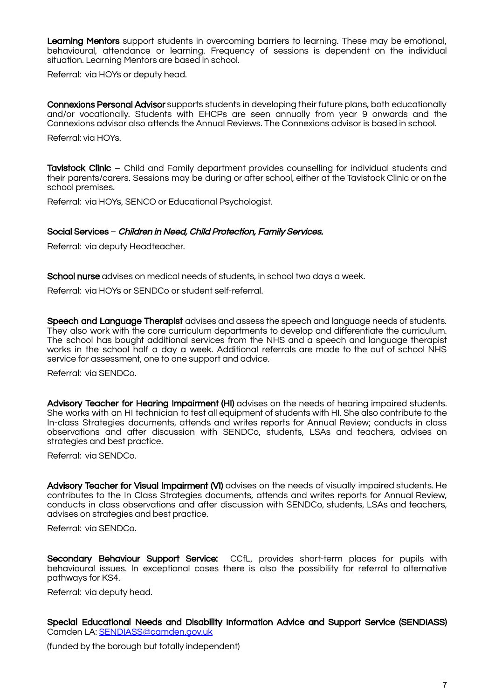Learning Mentors support students in overcoming barriers to learning. These may be emotional, behavioural, attendance or learning. Frequency of sessions is dependent on the individual situation. Learning Mentors are based in school.

Referral: via HOYs or deputy head.

Connexions Personal Advisor supports students in developing their future plans, both educationally and/or vocationally. Students with EHCPs are seen annually from year 9 onwards and the Connexions advisor also attends the Annual Reviews. The Connexions advisor is based in school.

Referral: via HOYs.

Tavistock Clinic - Child and Family department provides counselling for individual students and their parents/carers. Sessions may be during or after school, either at the Tavistock Clinic or on the school premises.

Referral: via HOYs, SENCO or Educational Psychologist.

#### Social Services – Children in Need, Child Protection, Family Services.

Referral: via deputy Headteacher.

School nurse advises on medical needs of students, in school two days a week.

Referral: via HOYs or SENDCo or student self-referral.

Speech and Language Therapist advises and assess the speech and language needs of students. They also work with the core curriculum departments to develop and differentiate the curriculum. The school has bought additional services from the NHS and a speech and language therapist works in the school half a day a week. Additional referrals are made to the out of school NHS service for assessment, one to one support and advice.

Referral: via SENDCo.

Advisory Teacher for Hearing Impairment (HI) advises on the needs of hearing impaired students. She works with an HI technician to test all equipment of students with HI. She also contribute to the In-class Strategies documents, attends and writes reports for Annual Review; conducts in class observations and after discussion with SENDCo, students, LSAs and teachers, advises on strategies and best practice.

Referral: via SENDCo.

Advisory Teacher for Visual Impairment (VI) advises on the needs of visually impaired students. He contributes to the In Class Strategies documents, attends and writes reports for Annual Review, conducts in class observations and after discussion with SENDCo, students, LSAs and teachers, advises on strategies and best practice.

Referral: via SENDCo.

Secondary Behaviour Support Service: CCfL, provides short-term places for pupils with behavioural issues. In exceptional cases there is also the possibility for referral to alternative pathways for KS4.

Referral: via deputy head.

Special Educational Needs and Disability Information Advice and Support Service (SENDIASS) Camden LA: [SENDIASS@camden.gov.uk](mailto:SENDIASS@camden.gov.uk)

(funded by the borough but totally independent)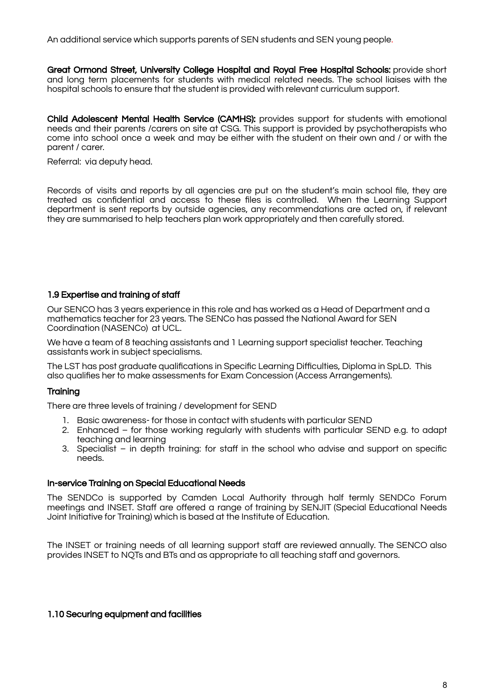An additional service which supports parents of SEN students and SEN young people.

Great Ormond Street, University College Hospital and Royal Free Hospital Schools: provide short and long term placements for students with medical related needs. The school liaises with the hospital schools to ensure that the student is provided with relevant curriculum support.

Child Adolescent Mental Health Service (CAMHS): provides support for students with emotional needs and their parents /carers on site at CSG. This support is provided by psychotherapists who come into school once a week and may be either with the student on their own and / or with the parent / carer.

Referral: via deputy head.

Records of visits and reports by all agencies are put on the student's main school file, they are treated as confidential and access to these files is controlled. When the Learning Support department is sent reports by outside agencies, any recommendations are acted on, if relevant they are summarised to help teachers plan work appropriately and then carefully stored.

## 1.9 Expertise and training of staff

Our SENCO has 3 years experience in this role and has worked as a Head of Department and a mathematics teacher for 23 years. The SENCo has passed the National Award for SEN Coordination (NASENCo) at UCL.

We have a team of 8 teaching assistants and 1 Learning support specialist teacher. Teaching assistants work in subject specialisms.

The LST has post graduate qualifications in Specific Learning Difficulties, Diploma in SpLD. This also qualifies her to make assessments for Exam Concession (Access Arrangements).

## **Training**

There are three levels of training / development for SEND

- 1. Basic awareness- for those in contact with students with particular SEND
- 2. Enhanced for those working regularly with students with particular SEND e.g. to adapt teaching and learning
- 3. Specialist in depth training: for staff in the school who advise and support on specific needs.

#### In-service Training on Special Educational Needs

The SENDCo is supported by Camden Local Authority through half termly SENDCo Forum meetings and INSET. Staff are offered a range of training by SENJIT (Special Educational Needs Joint Initiative for Training) which is based at the Institute of Education.

The INSET or training needs of all learning support staff are reviewed annually. The SENCO also provides INSET to NQTs and BTs and as appropriate to all teaching staff and governors.

#### 1.10 Securing equipment and facilities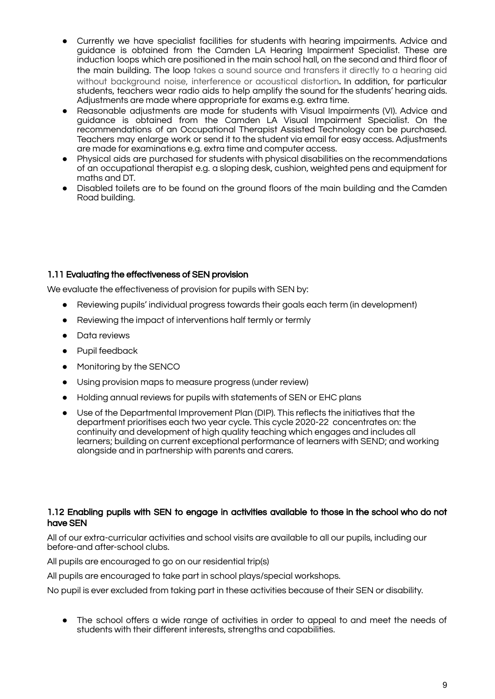- Currently we have specialist facilities for students with hearing impairments. Advice and guidance is obtained from the Camden LA Hearing Impairment Specialist. These are induction loops which are positioned in the main school hall, on the second and third floor of the main building. The loop takes a sound source and transfers it directly to a hearing aid without background noise, interference or acoustical distortion. In addition, for particular students, teachers wear radio aids to help amplify the sound for the students' hearing aids. Adjustments are made where appropriate for exams e.g. extra time.
- Reasonable adjustments are made for students with Visual Impairments (VI). Advice and guidance is obtained from the Camden LA Visual Impairment Specialist. On the recommendations of an Occupational Therapist Assisted Technology can be purchased. Teachers may enlarge work or send it to the student via email for easy access. Adjustments are made for examinations e.g. extra time and computer access.
- Physical aids are purchased for students with physical disabilities on the recommendations of an occupational therapist e.g. a sloping desk, cushion, weighted pens and equipment for maths and DT.
- Disabled toilets are to be found on the ground floors of the main building and the Camden Road building.

## 1.11 Evaluating the effectiveness of SEN provision

We evaluate the effectiveness of provision for pupils with SEN by:

- Reviewing pupils' individual progress towards their goals each term (in development)
- Reviewing the impact of interventions half termly or termly
- Data reviews
- Pupil feedback
- Monitoring by the SENCO
- Using provision maps to measure progress (under review)
- Holding annual reviews for pupils with statements of SEN or EHC plans
- Use of the Departmental Improvement Plan (DIP). This reflects the initiatives that the department prioritises each two year cycle. This cycle 2020-22 concentrates on: the continuity and development of high quality teaching which engages and includes all learners; building on current exceptional performance of learners with SEND; and working alongside and in partnership with parents and carers.

#### 1.12 Enabling pupils with SEN to engage in activities available to those in the school who do not have SEN

All of our extra-curricular activities and school visits are available to all our pupils, including our before-and after-school clubs.

All pupils are encouraged to go on our residential trip(s)

All pupils are encouraged to take part in school plays/special workshops.

No pupil is ever excluded from taking part in these activities because of their SEN or disability.

• The school offers a wide range of activities in order to appeal to and meet the needs of students with their different interests, strengths and capabilities.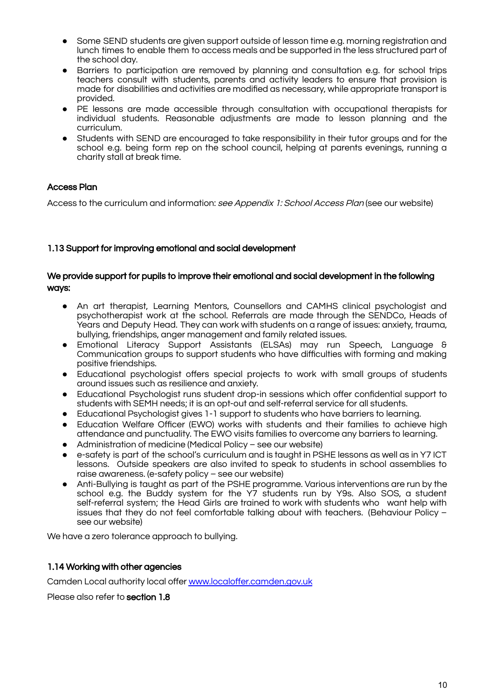- Some SEND students are given support outside of lesson time e.g. morning registration and lunch times to enable them to access meals and be supported in the less structured part of the school day.
- Barriers to participation are removed by planning and consultation e.g. for school trips teachers consult with students, parents and activity leaders to ensure that provision is made for disabilities and activities are modified as necessary, while appropriate transport is provided.
- PE lessons are made accessible through consultation with occupational therapists for individual students. Reasonable adjustments are made to lesson planning and the curriculum.
- Students with SEND are encouraged to take responsibility in their tutor groups and for the school e.g. being form rep on the school council, helping at parents evenings, running a charity stall at break time.

## Access Plan

Access to the curriculum and information: see Appendix 1: School Access Plan (see our website)

## 1.13 Support for improving emotional and social development

#### We provide support for pupils to improve their emotional and social development in the following ways:

- An art therapist, Learning Mentors, Counsellors and CAMHS clinical psychologist and psychotherapist work at the school. Referrals are made through the SENDCo, Heads of Years and Deputy Head. They can work with students on a range of issues: anxiety, trauma, bullying, friendships, anger management and family related issues.
- Emotional Literacy Support Assistants (ELSAs) may run Speech, Language & Communication groups to support students who have difficulties with forming and making positive friendships.
- Educational psychologist offers special projects to work with small groups of students around issues such as resilience and anxiety.
- Educational Psychologist runs student drop-in sessions which offer confidential support to students with SEMH needs; it is an opt-out and self-referral service for all students.
- Educational Psychologist gives 1-1 support to students who have barriers to learning.
- Education Welfare Officer (EWO) works with students and their families to achieve high attendance and punctuality. The EWO visits families to overcome any barriers to learning.
- Administration of medicine (Medical Policy see our website)
- e-safety is part of the school's curriculum and is taught in PSHE lessons as well as in Y7 ICT lessons. Outside speakers are also invited to speak to students in school assemblies to raise awareness. (e-safety policy – see our website)
- Anti-Bullying is taught as part of the PSHE programme. Various interventions are run by the school e.g. the Buddy system for the Y7 students run by Y9s. Also SOS, a student self-referral system; the Head Girls are trained to work with students who want help with issues that they do not feel comfortable talking about with teachers. (Behaviour Policy – see our website)

We have a zero tolerance approach to bullying.

#### 1.14 Working with other agencies

Camden Local authority local offer [www.localoffer.camden.gov.uk](http://www.localoffer.camden.gov.uk)

Please also refer to section 1.8